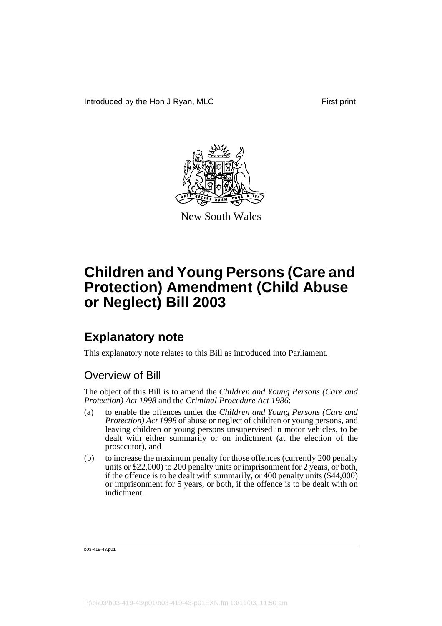

New South Wales

## **Explanatory note**

This explanatory note relates to this Bill as introduced into Parliament.

### Overview of Bill

The object of this Bill is to amend the *Children and Young Persons (Care and Protection) Act 1998* and the *Criminal Procedure Act 1986*:

- (a) to enable the offences under the *Children and Young Persons (Care and Protection) Act 1998* of abuse or neglect of children or young persons, and leaving children or young persons unsupervised in motor vehicles, to be dealt with either summarily or on indictment (at the election of the prosecutor), and
- (b) to increase the maximum penalty for those offences (currently 200 penalty units or \$22,000) to 200 penalty units or imprisonment for 2 years, or both, if the offence is to be dealt with summarily, or 400 penalty units (\$44,000) or imprisonment for 5 years, or both, if the offence is to be dealt with on indictment.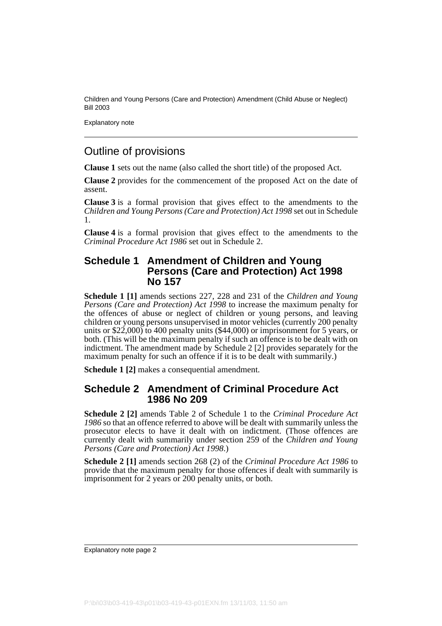Explanatory note

### Outline of provisions

**Clause 1** sets out the name (also called the short title) of the proposed Act.

**Clause 2** provides for the commencement of the proposed Act on the date of assent.

**Clause 3** is a formal provision that gives effect to the amendments to the *Children and Young Persons (Care and Protection) Act 1998* set out in Schedule 1.

**Clause 4** is a formal provision that gives effect to the amendments to the *Criminal Procedure Act 1986* set out in Schedule 2.

#### **Schedule 1 Amendment of Children and Young Persons (Care and Protection) Act 1998 No 157**

**Schedule 1 [1]** amends sections 227, 228 and 231 of the *Children and Young Persons (Care and Protection) Act 1998* to increase the maximum penalty for the offences of abuse or neglect of children or young persons, and leaving children or young persons unsupervised in motor vehicles (currently 200 penalty units or \$22,000) to 400 penalty units (\$44,000) or imprisonment for 5 years, or both. (This will be the maximum penalty if such an offence is to be dealt with on indictment. The amendment made by Schedule 2 [2] provides separately for the maximum penalty for such an offence if it is to be dealt with summarily.)

**Schedule 1 [2]** makes a consequential amendment.

#### **Schedule 2 Amendment of Criminal Procedure Act 1986 No 209**

**Schedule 2 [2]** amends Table 2 of Schedule 1 to the *Criminal Procedure Act 1986* so that an offence referred to above will be dealt with summarily unless the prosecutor elects to have it dealt with on indictment. (Those offences are currently dealt with summarily under section 259 of the *Children and Young Persons (Care and Protection) Act 1998*.)

**Schedule 2 [1]** amends section 268 (2) of the *Criminal Procedure Act 1986* to provide that the maximum penalty for those offences if dealt with summarily is imprisonment for 2 years or 200 penalty units, or both.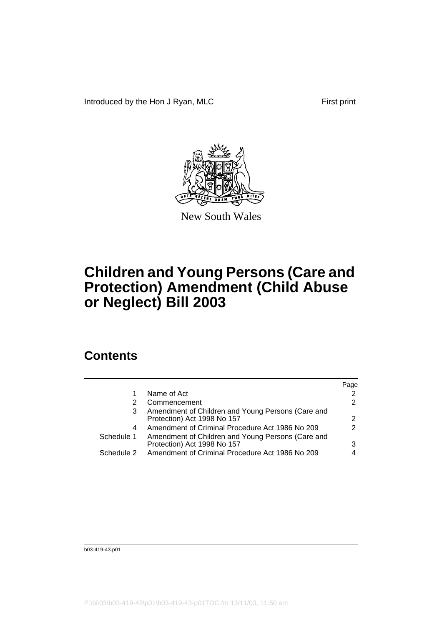

New South Wales

### **Contents**

|            |                                                                                  | Page |
|------------|----------------------------------------------------------------------------------|------|
|            | Name of Act                                                                      |      |
|            | Commencement                                                                     | 2    |
| 3          | Amendment of Children and Young Persons (Care and<br>Protection) Act 1998 No 157 | 2    |
| 4          | Amendment of Criminal Procedure Act 1986 No 209                                  | 2    |
| Schedule 1 | Amendment of Children and Young Persons (Care and<br>Protection) Act 1998 No 157 | 3    |
| Schedule 2 | Amendment of Criminal Procedure Act 1986 No 209                                  |      |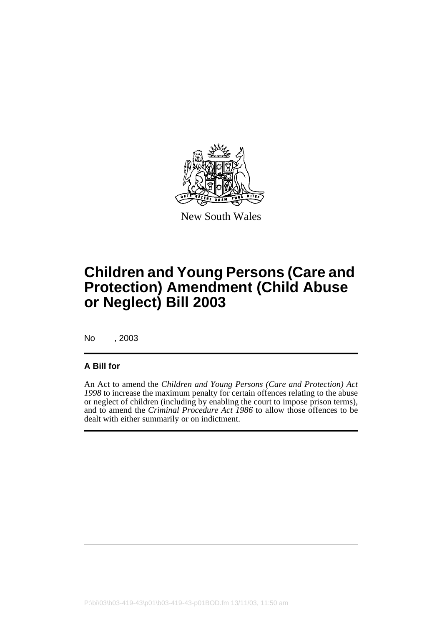

New South Wales

## **Children and Young Persons (Care and Protection) Amendment (Child Abuse or Neglect) Bill 2003**

No , 2003

#### **A Bill for**

An Act to amend the *Children and Young Persons (Care and Protection) Act 1998* to increase the maximum penalty for certain offences relating to the abuse or neglect of children (including by enabling the court to impose prison terms), and to amend the *Criminal Procedure Act 1986* to allow those offences to be dealt with either summarily or on indictment.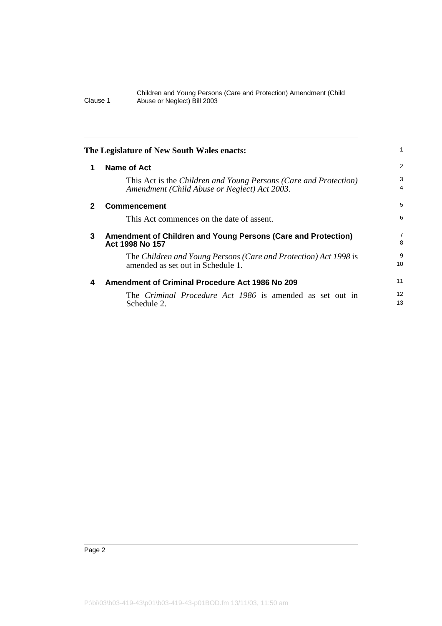|              | The Legislature of New South Wales enacts:                                                                       |                |
|--------------|------------------------------------------------------------------------------------------------------------------|----------------|
| 1            | Name of Act                                                                                                      | $\overline{2}$ |
|              | This Act is the Children and Young Persons (Care and Protection)<br>Amendment (Child Abuse or Neglect) Act 2003. | 3<br>4         |
| $\mathbf{2}$ | <b>Commencement</b>                                                                                              | 5              |
|              | This Act commences on the date of assent.                                                                        | 6              |
| 3            | Amendment of Children and Young Persons (Care and Protection)<br>Act 1998 No 157                                 | 7<br>8         |
|              | The Children and Young Persons (Care and Protection) Act 1998 is<br>amended as set out in Schedule 1.            | 9<br>10        |
| 4            | <b>Amendment of Criminal Procedure Act 1986 No 209</b>                                                           | 11             |
|              | The <i>Criminal Procedure Act 1986</i> is amended as set out in<br>Schedule 2.                                   | 12<br>13       |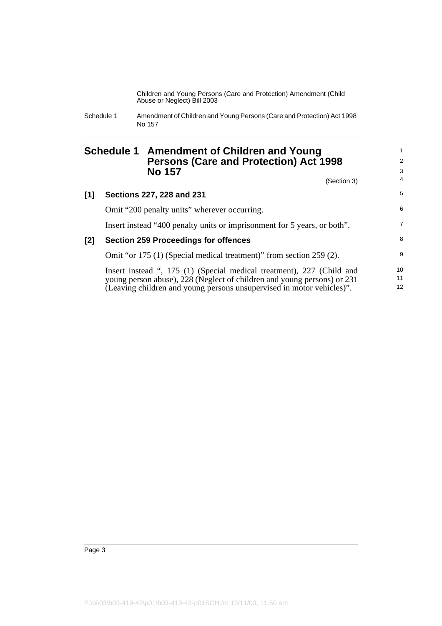### **Schedule 1 Amendment of Children and Young Persons (Care and Protection) Act 1998 No 157**

(Section 3)

| [1] | Sections 227, 228 and 231                                                | 5               |
|-----|--------------------------------------------------------------------------|-----------------|
|     | Omit "200 penalty units" wherever occurring.                             | 6               |
|     | Insert instead "400 penalty units or imprisonment for 5 years, or both". | $\overline{7}$  |
| [2] | <b>Section 259 Proceedings for offences</b>                              | 8               |
|     | Omit "or 175 (1) (Special medical treatment)" from section 259 (2).      | 9               |
|     | Insert instead ", 175 (1) (Special medical treatment), 227 (Child and    | 10              |
|     | young person abuse), 228 (Neglect of children and young persons) or 231  | 11              |
|     | (Leaving children and young persons unsupervised in motor vehicles)".    | 12 <sup>°</sup> |

Schedule 1 Amendment of Children and Young Persons (Care and Protection) Act 1998 No 157